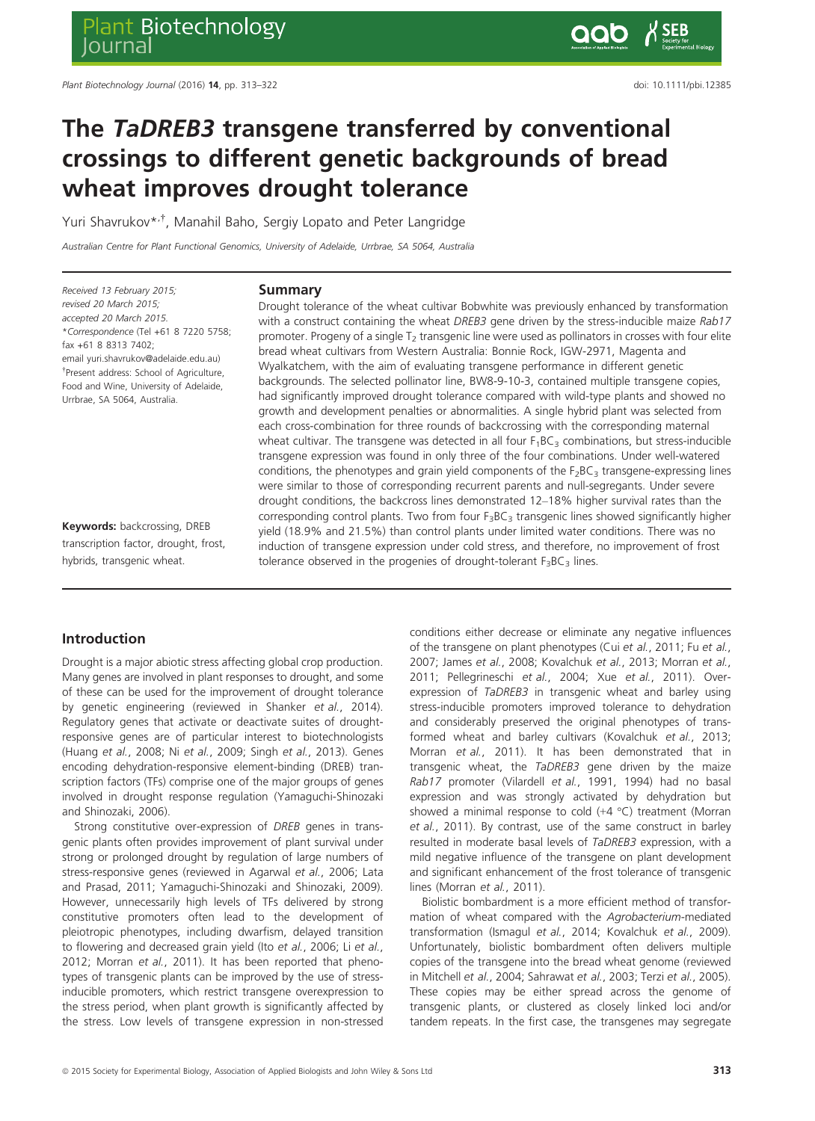# The TaDREB3 transgene transferred by conventional crossings to different genetic backgrounds of bread wheat improves drought tolerance

Yuri Shavrukov\*<sup>,†</sup>, Manahil Baho, Sergiy Lopato and Peter Langridge

Australian Centre for Plant Functional Genomics, University of Adelaide, Urrbrae, SA 5064, Australia

Received 13 February 2015; revised 20 March 2015; accepted 20 March 2015. \*Correspondence (Tel +61 8 7220 5758; fax +61 8 8313 7402; email yuri.shavrukov@adelaide.edu.au) † Present address: School of Agriculture, Food and Wine, University of Adelaide, Urrbrae, SA 5064, Australia.

Keywords: backcrossing, DREB transcription factor, drought, frost, hybrids, transgenic wheat.

#### Summary

Drought tolerance of the wheat cultivar Bobwhite was previously enhanced by transformation with a construct containing the wheat DREB3 gene driven by the stress-inducible maize Rab17 promoter. Progeny of a single  $T<sub>2</sub>$  transgenic line were used as pollinators in crosses with four elite bread wheat cultivars from Western Australia: Bonnie Rock, IGW-2971, Magenta and Wyalkatchem, with the aim of evaluating transgene performance in different genetic backgrounds. The selected pollinator line, BW8-9-10-3, contained multiple transgene copies, had significantly improved drought tolerance compared with wild-type plants and showed no growth and development penalties or abnormalities. A single hybrid plant was selected from each cross-combination for three rounds of backcrossing with the corresponding maternal wheat cultivar. The transgene was detected in all four  $F_1BC_3$  combinations, but stress-inducible transgene expression was found in only three of the four combinations. Under well-watered conditions, the phenotypes and grain yield components of the  $F_2BC_3$  transgene-expressing lines were similar to those of corresponding recurrent parents and null-segregants. Under severe drought conditions, the backcross lines demonstrated 12–18% higher survival rates than the corresponding control plants. Two from four  $F_3BC_3$  transgenic lines showed significantly higher yield (18.9% and 21.5%) than control plants under limited water conditions. There was no induction of transgene expression under cold stress, and therefore, no improvement of frost tolerance observed in the progenies of drought-tolerant  $F_3BC_3$  lines.

# Introduction

Drought is a major abiotic stress affecting global crop production. Many genes are involved in plant responses to drought, and some of these can be used for the improvement of drought tolerance by genetic engineering (reviewed in Shanker et al., 2014). Regulatory genes that activate or deactivate suites of droughtresponsive genes are of particular interest to biotechnologists (Huang et al., 2008; Ni et al., 2009; Singh et al., 2013). Genes encoding dehydration-responsive element-binding (DREB) transcription factors (TFs) comprise one of the major groups of genes involved in drought response regulation (Yamaguchi-Shinozaki and Shinozaki, 2006).

Strong constitutive over-expression of DREB genes in transgenic plants often provides improvement of plant survival under strong or prolonged drought by regulation of large numbers of stress-responsive genes (reviewed in Agarwal et al., 2006; Lata and Prasad, 2011; Yamaguchi-Shinozaki and Shinozaki, 2009). However, unnecessarily high levels of TFs delivered by strong constitutive promoters often lead to the development of pleiotropic phenotypes, including dwarfism, delayed transition to flowering and decreased grain yield (Ito et al., 2006; Li et al., 2012; Morran et al., 2011). It has been reported that phenotypes of transgenic plants can be improved by the use of stressinducible promoters, which restrict transgene overexpression to the stress period, when plant growth is significantly affected by the stress. Low levels of transgene expression in non-stressed

<sup>©</sup> 2015 Society for Experimental Biology, Association of Applied Biologists and John Wiley & Sons Ltd 313 313

conditions either decrease or eliminate any negative influences of the transgene on plant phenotypes (Cui et al., 2011; Fu et al., 2007; James et al., 2008; Kovalchuk et al., 2013; Morran et al., 2011; Pellegrineschi et al., 2004; Xue et al., 2011). Overexpression of TaDREB3 in transgenic wheat and barley using stress-inducible promoters improved tolerance to dehydration and considerably preserved the original phenotypes of transformed wheat and barley cultivars (Kovalchuk et al., 2013; Morran et al., 2011). It has been demonstrated that in transgenic wheat, the TaDREB3 gene driven by the maize Rab17 promoter (Vilardell et al., 1991, 1994) had no basal expression and was strongly activated by dehydration but showed a minimal response to cold (+4 °C) treatment (Morran et al., 2011). By contrast, use of the same construct in barley resulted in moderate basal levels of TaDREB3 expression, with a mild negative influence of the transgene on plant development and significant enhancement of the frost tolerance of transgenic lines (Morran et al., 2011).

Biolistic bombardment is a more efficient method of transformation of wheat compared with the Agrobacterium-mediated transformation (Ismagul et al., 2014; Kovalchuk et al., 2009). Unfortunately, biolistic bombardment often delivers multiple copies of the transgene into the bread wheat genome (reviewed in Mitchell et al., 2004; Sahrawat et al., 2003; Terzi et al., 2005). These copies may be either spread across the genome of transgenic plants, or clustered as closely linked loci and/or tandem repeats. In the first case, the transgenes may segregate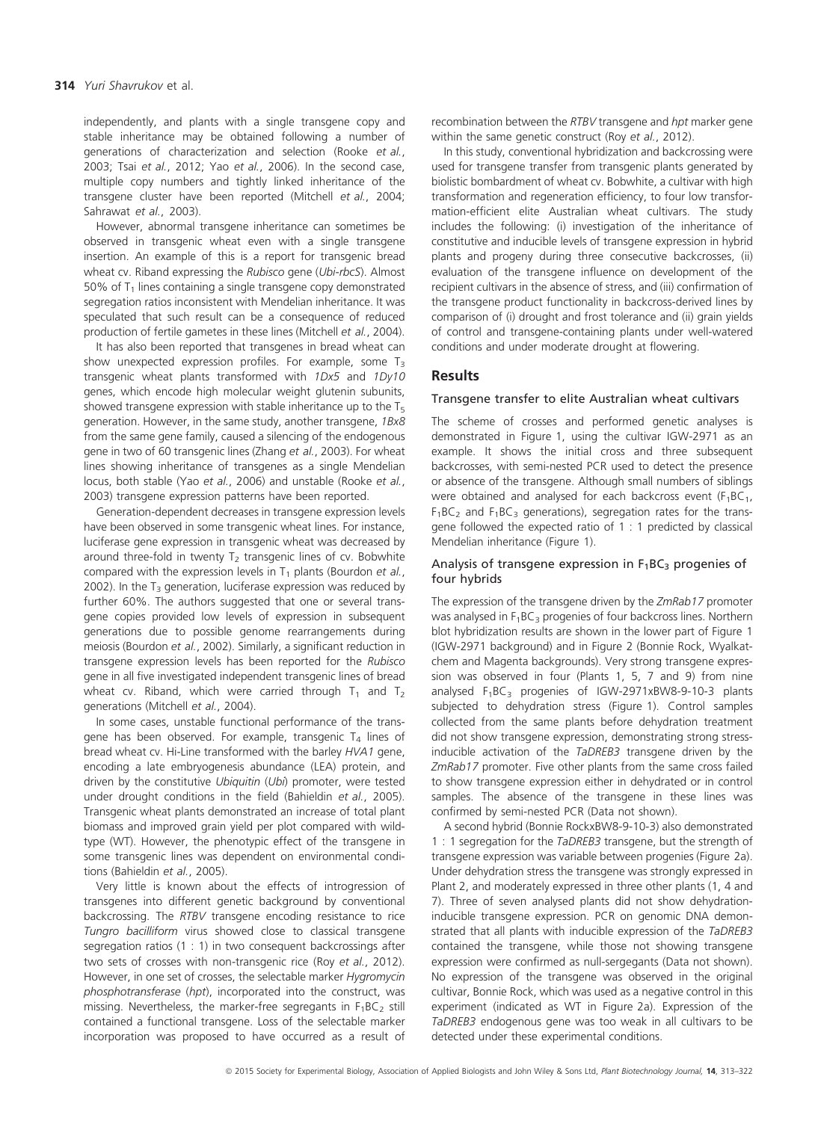independently, and plants with a single transgene copy and stable inheritance may be obtained following a number of generations of characterization and selection (Rooke et al., 2003; Tsai et al., 2012; Yao et al., 2006). In the second case, multiple copy numbers and tightly linked inheritance of the transgene cluster have been reported (Mitchell et al., 2004; Sahrawat et al., 2003).

However, abnormal transgene inheritance can sometimes be observed in transgenic wheat even with a single transgene insertion. An example of this is a report for transgenic bread wheat cv. Riband expressing the Rubisco gene (Ubi-rbcS). Almost 50% of  $T_1$  lines containing a single transgene copy demonstrated segregation ratios inconsistent with Mendelian inheritance. It was speculated that such result can be a consequence of reduced production of fertile gametes in these lines (Mitchell et al., 2004).

It has also been reported that transgenes in bread wheat can show unexpected expression profiles. For example, some  $T_3$ transgenic wheat plants transformed with 1Dx5 and 1Dy10 genes, which encode high molecular weight glutenin subunits, showed transgene expression with stable inheritance up to the  $T_5$ generation. However, in the same study, another transgene, 1Bx8 from the same gene family, caused a silencing of the endogenous gene in two of 60 transgenic lines (Zhang et al., 2003). For wheat lines showing inheritance of transgenes as a single Mendelian locus, both stable (Yao et al., 2006) and unstable (Rooke et al., 2003) transgene expression patterns have been reported.

Generation-dependent decreases in transgene expression levels have been observed in some transgenic wheat lines. For instance, luciferase gene expression in transgenic wheat was decreased by around three-fold in twenty  $T_2$  transgenic lines of cv. Bobwhite compared with the expression levels in  $T_1$  plants (Bourdon et al., 2002). In the  $T_3$  generation, luciferase expression was reduced by further 60%. The authors suggested that one or several transgene copies provided low levels of expression in subsequent generations due to possible genome rearrangements during meiosis (Bourdon et al., 2002). Similarly, a significant reduction in transgene expression levels has been reported for the Rubisco gene in all five investigated independent transgenic lines of bread wheat cv. Riband, which were carried through  $T_1$  and  $T_2$ generations (Mitchell et al., 2004).

In some cases, unstable functional performance of the transgene has been observed. For example, transgenic  $T_4$  lines of bread wheat cv. Hi-Line transformed with the barley HVA1 gene, encoding a late embryogenesis abundance (LEA) protein, and driven by the constitutive Ubiquitin (Ubi) promoter, were tested under drought conditions in the field (Bahieldin et al., 2005). Transgenic wheat plants demonstrated an increase of total plant biomass and improved grain yield per plot compared with wildtype (WT). However, the phenotypic effect of the transgene in some transgenic lines was dependent on environmental conditions (Bahieldin et al., 2005).

Very little is known about the effects of introgression of transgenes into different genetic background by conventional backcrossing. The RTBV transgene encoding resistance to rice Tungro bacilliform virus showed close to classical transgene segregation ratios (1 : 1) in two consequent backcrossings after two sets of crosses with non-transgenic rice (Roy et al., 2012). However, in one set of crosses, the selectable marker Hygromycin phosphotransferase (hpt), incorporated into the construct, was missing. Nevertheless, the marker-free segregants in  $F_1BC_2$  still contained a functional transgene. Loss of the selectable marker incorporation was proposed to have occurred as a result of

recombination between the RTBV transgene and hpt marker gene within the same genetic construct (Roy et al., 2012).

In this study, conventional hybridization and backcrossing were used for transgene transfer from transgenic plants generated by biolistic bombardment of wheat cv. Bobwhite, a cultivar with high transformation and regeneration efficiency, to four low transformation-efficient elite Australian wheat cultivars. The study includes the following: (i) investigation of the inheritance of constitutive and inducible levels of transgene expression in hybrid plants and progeny during three consecutive backcrosses, (ii) evaluation of the transgene influence on development of the recipient cultivars in the absence of stress, and (iii) confirmation of the transgene product functionality in backcross-derived lines by comparison of (i) drought and frost tolerance and (ii) grain yields of control and transgene-containing plants under well-watered conditions and under moderate drought at flowering.

#### **Results**

#### Transgene transfer to elite Australian wheat cultivars

The scheme of crosses and performed genetic analyses is demonstrated in Figure 1, using the cultivar IGW-2971 as an example. It shows the initial cross and three subsequent backcrosses, with semi-nested PCR used to detect the presence or absence of the transgene. Although small numbers of siblings were obtained and analysed for each backcross event  $(F_1BC_1,$  $F_1BC_2$  and  $F_1BC_3$  generations), segregation rates for the transgene followed the expected ratio of 1 : 1 predicted by classical Mendelian inheritance (Figure 1).

#### Analysis of transgene expression in  $F_1BC_3$  progenies of four hybrids

The expression of the transgene driven by the ZmRab17 promoter was analysed in  $F_1BC_3$  progenies of four backcross lines. Northern blot hybridization results are shown in the lower part of Figure 1 (IGW-2971 background) and in Figure 2 (Bonnie Rock, Wyalkatchem and Magenta backgrounds). Very strong transgene expression was observed in four (Plants 1, 5, 7 and 9) from nine analysed  $F_1BC_3$  progenies of IGW-2971xBW8-9-10-3 plants subjected to dehydration stress (Figure 1). Control samples collected from the same plants before dehydration treatment did not show transgene expression, demonstrating strong stressinducible activation of the TaDREB3 transgene driven by the ZmRab17 promoter. Five other plants from the same cross failed to show transgene expression either in dehydrated or in control samples. The absence of the transgene in these lines was confirmed by semi-nested PCR (Data not shown).

A second hybrid (Bonnie RockxBW8-9-10-3) also demonstrated 1 : 1 segregation for the TaDREB3 transgene, but the strength of transgene expression was variable between progenies (Figure 2a). Under dehydration stress the transgene was strongly expressed in Plant 2, and moderately expressed in three other plants (1, 4 and 7). Three of seven analysed plants did not show dehydrationinducible transgene expression. PCR on genomic DNA demonstrated that all plants with inducible expression of the TaDREB3 contained the transgene, while those not showing transgene expression were confirmed as null-sergegants (Data not shown). No expression of the transgene was observed in the original cultivar, Bonnie Rock, which was used as a negative control in this experiment (indicated as WT in Figure 2a). Expression of the TaDREB3 endogenous gene was too weak in all cultivars to be detected under these experimental conditions.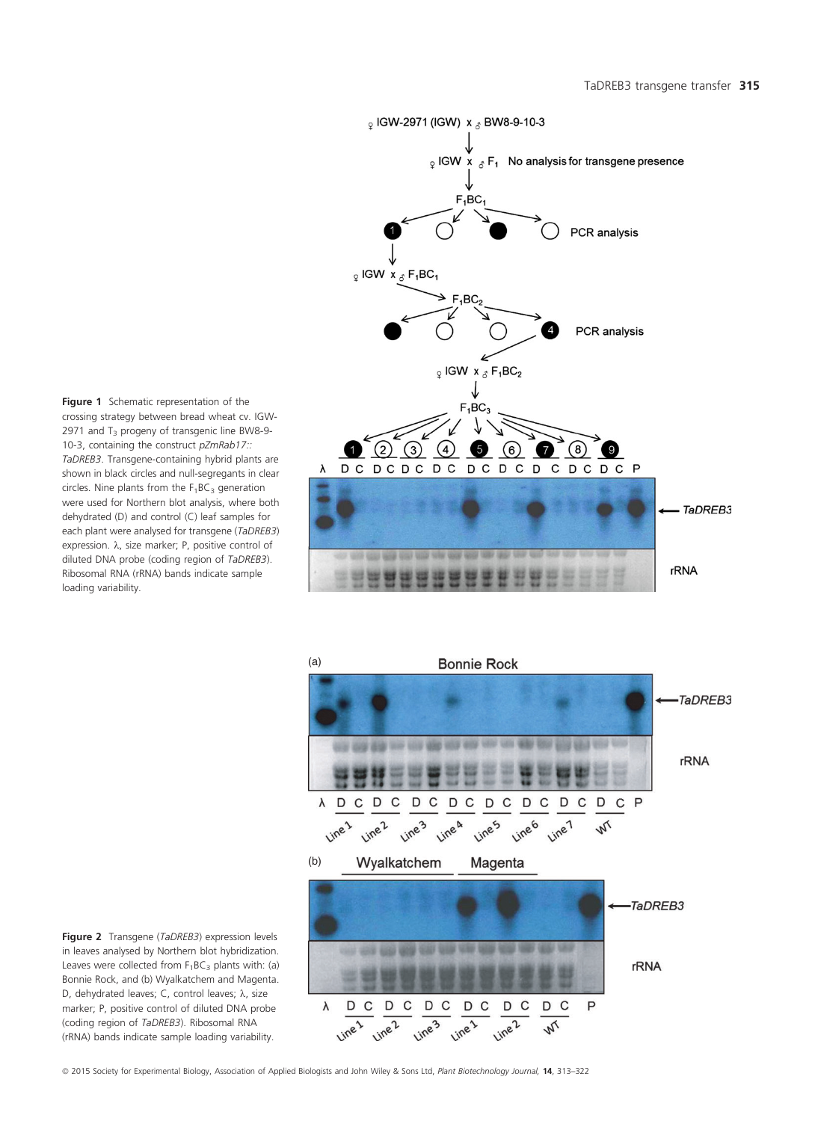Figure 1 Schematic representation of the crossing strategy between bread wheat cv. IGW-2971 and  $T_3$  progeny of transgenic line BW8-9-10-3, containing the construct pZmRab17:: TaDREB3. Transgene-containing hybrid plants are shown in black circles and null-segregants in clear circles. Nine plants from the  $F_1BC_3$  generation were used for Northern blot analysis, where both dehydrated (D) and control (C) leaf samples for each plant were analysed for transgene (TaDREB3) expression.  $\lambda$ , size marker; P, positive control of diluted DNA probe (coding region of TaDREB3). Ribosomal RNA (rRNA) bands indicate sample loading variability.



(a) **Bonnie Rock** TaDREB3 rRNA  $\lambda$ D  $\mathsf{C}$ D C D  $\mathsf{C}$ D C D  $\mathsf{C}$ D  $\mathsf{C}$ D  $\mathsf{C}$ D C P Line 6  $\frac{1}{2}$  $\frac{1}{2}$ Line A  $\frac{1}{2}$  $\frac{1}{2}$  $\frac{1}{2}$ Line 1 (b) Wyalkatchem Magenta TaDREB3 **CONTROL STATE** 687 948 rRNA D D  $\mathsf{C}$ D C D C  $\mathsf{C}$  $\mathsf{P}$ λ  $\mathsf{C}$ D C D  $\frac{1}{2}$  $\frac{1}{2}$ Line<sub>2</sub> Line<sup>1</sup> Line<sup>1</sup>  $\overline{\mathcal{U}}$ 

Figure 2 Transgene (TaDREB3) expression levels in leaves analysed by Northern blot hybridization. Leaves were collected from  $F_1BC_3$  plants with: (a) Bonnie Rock, and (b) Wyalkatchem and Magenta. D, dehydrated leaves; C, control leaves;  $\lambda$ , size marker; P, positive control of diluted DNA probe (coding region of TaDREB3). Ribosomal RNA (rRNA) bands indicate sample loading variability.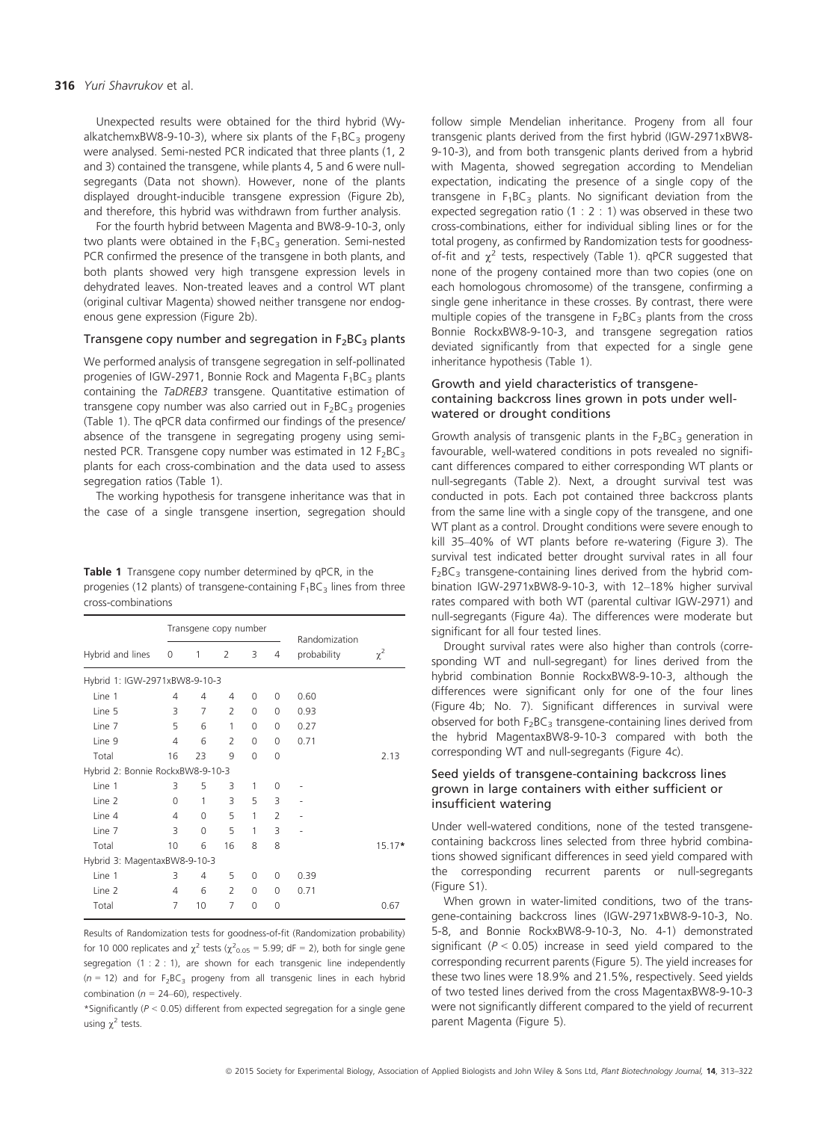#### 316 Yuri Shavrukov et al.

Unexpected results were obtained for the third hybrid (WyalkatchemxBW8-9-10-3), where six plants of the  $F_1BC_3$  progeny were analysed. Semi-nested PCR indicated that three plants (1, 2 and 3) contained the transgene, while plants 4, 5 and 6 were nullsegregants (Data not shown). However, none of the plants displayed drought-inducible transgene expression (Figure 2b), and therefore, this hybrid was withdrawn from further analysis.

For the fourth hybrid between Magenta and BW8-9-10-3, only two plants were obtained in the  $F_1BC_3$  generation. Semi-nested PCR confirmed the presence of the transgene in both plants, and both plants showed very high transgene expression levels in dehydrated leaves. Non-treated leaves and a control WT plant (original cultivar Magenta) showed neither transgene nor endogenous gene expression (Figure 2b).

#### Transgene copy number and segregation in  $F_2BC_3$  plants

We performed analysis of transgene segregation in self-pollinated progenies of IGW-2971, Bonnie Rock and Magenta  $F_1BC_3$  plants containing the TaDREB3 transgene. Quantitative estimation of transgene copy number was also carried out in  $F_2BC_3$  progenies (Table 1). The qPCR data confirmed our findings of the presence/ absence of the transgene in segregating progeny using seminested PCR. Transgene copy number was estimated in 12  $F_2BC_3$ plants for each cross-combination and the data used to assess segregation ratios (Table 1).

The working hypothesis for transgene inheritance was that in the case of a single transgene insertion, segregation should

Table 1 Transgene copy number determined by gPCR, in the progenies (12 plants) of transgene-containing  $F_1BC_3$  lines from three cross-combinations

|                                  | Transgene copy number |          |                |          |                | Randomization |          |  |
|----------------------------------|-----------------------|----------|----------------|----------|----------------|---------------|----------|--|
| Hybrid and lines                 | 0                     | 1        | 2              | 3        | 4              | probability   | $\chi^2$ |  |
| Hybrid 1: IGW-2971xBW8-9-10-3    |                       |          |                |          |                |               |          |  |
| Line 1                           | 4                     | 4        | 4              | 0        | 0              | 0.60          |          |  |
| Line 5                           | 3                     | 7        | $\overline{2}$ | $\Omega$ | 0              | 0.93          |          |  |
| Line 7                           | 5                     | 6        | 1              | $\Omega$ | 0              | 0.27          |          |  |
| Line 9                           | 4                     | 6        | $\overline{2}$ | $\Omega$ | $\Omega$       | 0.71          |          |  |
| Total                            | 16                    | 23       | 9              | $\Omega$ | $\Omega$       |               | 2.13     |  |
| Hybrid 2: Bonnie RockxBW8-9-10-3 |                       |          |                |          |                |               |          |  |
| Line 1                           | 3                     | 5        | 3              | 1        | 0              |               |          |  |
| Line 2                           | 0                     | 1        | 3              | 5        | 3              |               |          |  |
| Line 4                           | 4                     | $\Omega$ | 5              | 1        | $\overline{2}$ |               |          |  |
| Line 7                           | 3                     | $\Omega$ | 5              | 1        | 3              |               |          |  |
| Total                            | 10                    | 6        | 16             | 8        | 8              |               | $15.17*$ |  |
| Hybrid 3: MagentaxBW8-9-10-3     |                       |          |                |          |                |               |          |  |
| Line 1                           | 3                     | 4        | 5              | 0        | $\Omega$       | 0.39          |          |  |
| Line 2                           | 4                     | 6        | $\mathcal{P}$  | 0        | 0              | 0.71          |          |  |
| Total                            | 7                     | 10       | 7              | $\Omega$ | 0              |               | 0.67     |  |

Results of Randomization tests for goodness-of-fit (Randomization probability) for 10 000 replicates and  $\chi^2$  tests ( $\chi^2{}_{0.05}$  = 5.99; dF = 2), both for single gene segregation (1 : 2 : 1), are shown for each transgenic line independently  $(n = 12)$  and for F<sub>2</sub>BC<sub>3</sub> progeny from all transgenic lines in each hybrid combination ( $n = 24-60$ ), respectively.

\*Significantly ( $P < 0.05$ ) different from expected segregation for a single gene using  $\gamma^2$  tests.

follow simple Mendelian inheritance. Progeny from all four transgenic plants derived from the first hybrid (IGW-2971xBW8- 9-10-3), and from both transgenic plants derived from a hybrid with Magenta, showed segregation according to Mendelian expectation, indicating the presence of a single copy of the transgene in  $F_1BC_3$  plants. No significant deviation from the expected segregation ratio (1 : 2 : 1) was observed in these two cross-combinations, either for individual sibling lines or for the total progeny, as confirmed by Randomization tests for goodnessof-fit and  $\chi^2$  tests, respectively (Table 1). qPCR suggested that none of the progeny contained more than two copies (one on each homologous chromosome) of the transgene, confirming a single gene inheritance in these crosses. By contrast, there were multiple copies of the transgene in  $F_2BC_3$  plants from the cross Bonnie RockxBW8-9-10-3, and transgene segregation ratios deviated significantly from that expected for a single gene inheritance hypothesis (Table 1).

#### Growth and yield characteristics of transgenecontaining backcross lines grown in pots under wellwatered or drought conditions

Growth analysis of transgenic plants in the  $F_2BC_3$  generation in favourable, well-watered conditions in pots revealed no significant differences compared to either corresponding WT plants or null-segregants (Table 2). Next, a drought survival test was conducted in pots. Each pot contained three backcross plants from the same line with a single copy of the transgene, and one WT plant as a control. Drought conditions were severe enough to kill 35–40% of WT plants before re-watering (Figure 3). The survival test indicated better drought survival rates in all four  $F_2BC_3$  transgene-containing lines derived from the hybrid combination IGW-2971xBW8-9-10-3, with 12–18% higher survival rates compared with both WT (parental cultivar IGW-2971) and null-segregants (Figure 4a). The differences were moderate but significant for all four tested lines.

Drought survival rates were also higher than controls (corresponding WT and null-segregant) for lines derived from the hybrid combination Bonnie RockxBW8-9-10-3, although the differences were significant only for one of the four lines (Figure 4b; No. 7). Significant differences in survival were observed for both  $F_2BC_3$  transgene-containing lines derived from the hybrid MagentaxBW8-9-10-3 compared with both the corresponding WT and null-segregants (Figure 4c).

## Seed yields of transgene-containing backcross lines grown in large containers with either sufficient or insufficient watering

Under well-watered conditions, none of the tested transgenecontaining backcross lines selected from three hybrid combinations showed significant differences in seed yield compared with the corresponding recurrent parents or null-segregants (Figure S1).

When grown in water-limited conditions, two of the transgene-containing backcross lines (IGW-2971xBW8-9-10-3, No. 5-8, and Bonnie RockxBW8-9-10-3, No. 4-1) demonstrated significant ( $P < 0.05$ ) increase in seed yield compared to the corresponding recurrent parents (Figure 5). The yield increases for these two lines were 18.9% and 21.5%, respectively. Seed yields of two tested lines derived from the cross MagentaxBW8-9-10-3 were not significantly different compared to the yield of recurrent parent Magenta (Figure 5).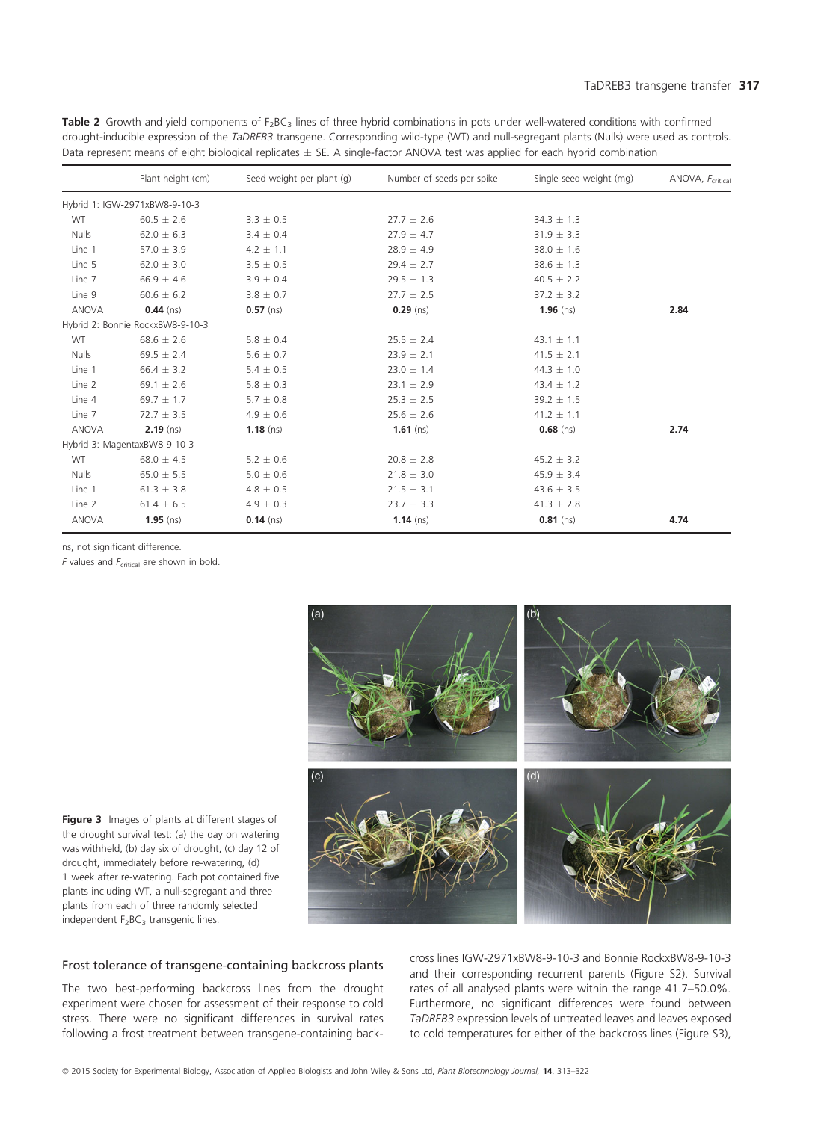Table 2 Growth and yield components of F<sub>2</sub>BC<sub>3</sub> lines of three hybrid combinations in pots under well-watered conditions with confirmed drought-inducible expression of the TaDREB3 transgene. Corresponding wild-type (WT) and null-segregant plants (Nulls) were used as controls. Data represent means of eight biological replicates  $\pm$  SE. A single-factor ANOVA test was applied for each hybrid combination

|              | Plant height (cm)                | Seed weight per plant (g) | Number of seeds per spike | Single seed weight (mg) | ANOVA, F <sub>critical</sub> |
|--------------|----------------------------------|---------------------------|---------------------------|-------------------------|------------------------------|
|              | Hybrid 1: IGW-2971xBW8-9-10-3    |                           |                           |                         |                              |
| WT           | $60.5 \pm 2.6$                   | $3.3 \pm 0.5$             | $27.7 \pm 2.6$            | $34.3 \pm 1.3$          |                              |
| <b>Nulls</b> | $62.0 \pm 6.3$                   | $3.4 \pm 0.4$             | $27.9 \pm 4.7$            | $31.9 \pm 3.3$          |                              |
| Line 1       | 57.0 $\pm$ 3.9                   | $4.2 \pm 1.1$             | $28.9 \pm 4.9$            | $38.0 \pm 1.6$          |                              |
| Line 5       | $62.0 \pm 3.0$                   | $3.5 \pm 0.5$             | $29.4 \pm 2.7$            | $38.6 \pm 1.3$          |                              |
| Line 7       | $66.9 \pm 4.6$                   | $3.9 \pm 0.4$             | $29.5 \pm 1.3$            | $40.5 \pm 2.2$          |                              |
| Line 9       | $60.6 \pm 6.2$                   | $3.8 \pm 0.7$             | $27.7 \pm 2.5$            | $37.2 \pm 3.2$          |                              |
| <b>ANOVA</b> | $0.44$ (ns)                      | $0.57$ (ns)               | $0.29$ (ns)               | 1.96 $(ns)$             | 2.84                         |
|              | Hybrid 2: Bonnie RockxBW8-9-10-3 |                           |                           |                         |                              |
| WT           | $68.6 \pm 2.6$                   | $5.8 \pm 0.4$             | $25.5 \pm 2.4$            | 43.1 $\pm$ 1.1          |                              |
| <b>Nulls</b> | $69.5 \pm 2.4$                   | $5.6 \pm 0.7$             | $23.9 \pm 2.1$            | $41.5 \pm 2.1$          |                              |
| Line 1       | $66.4 \pm 3.2$                   | $5.4 \pm 0.5$             | $23.0 \pm 1.4$            | $44.3 \pm 1.0$          |                              |
| Line 2       | 69.1 $\pm$ 2.6                   | $5.8 \pm 0.3$             | $23.1 \pm 2.9$            | $43.4 \pm 1.2$          |                              |
| Line 4       | 69.7 $\pm$ 1.7                   | $5.7 \pm 0.8$             | $25.3 \pm 2.5$            | $39.2 \pm 1.5$          |                              |
| Line 7       | $72.7 \pm 3.5$                   | $4.9 \pm 0.6$             | $25.6 \pm 2.6$            | $41.2 \pm 1.1$          |                              |
| <b>ANOVA</b> | $2.19$ (ns)                      | $1.18$ (ns)               | $1.61$ (ns)               | $0.68$ (ns)             | 2.74                         |
|              | Hybrid 3: MagentaxBW8-9-10-3     |                           |                           |                         |                              |
| <b>WT</b>    | $68.0 \pm 4.5$                   | $5.2 \pm 0.6$             | $20.8 \pm 2.8$            | $45.2 \pm 3.2$          |                              |
| <b>Nulls</b> | $65.0 \pm 5.5$                   | $5.0 \pm 0.6$             | $21.8 \pm 3.0$            | $45.9 \pm 3.4$          |                              |
| Line 1       | $61.3 \pm 3.8$                   | $4.8 \pm 0.5$             | $21.5 \pm 3.1$            | $43.6 \pm 3.5$          |                              |
| Line 2       | $61.4 \pm 6.5$                   | $4.9 \pm 0.3$             | $23.7 \pm 3.3$            | $41.3 \pm 2.8$          |                              |
| <b>ANOVA</b> | $1.95$ (ns)                      | $0.14$ (ns)               | 1.14 $(ns)$               | $0.81$ (ns)             | 4.74                         |

ns, not significant difference.

 $F$  values and  $F_{critical}$  are shown in bold.



Figure 3 Images of plants at different stages of the drought survival test: (a) the day on watering was withheld, (b) day six of drought, (c) day 12 of drought, immediately before re-watering, (d) 1 week after re-watering. Each pot contained five plants including WT, a null-segregant and three plants from each of three randomly selected independent  $F_2BC_3$  transgenic lines.

# Frost tolerance of transgene-containing backcross plants

The two best-performing backcross lines from the drought experiment were chosen for assessment of their response to cold stress. There were no significant differences in survival rates following a frost treatment between transgene-containing backcross lines IGW-2971xBW8-9-10-3 and Bonnie RockxBW8-9-10-3 and their corresponding recurrent parents (Figure S2). Survival rates of all analysed plants were within the range 41.7–50.0%. Furthermore, no significant differences were found between TaDREB3 expression levels of untreated leaves and leaves exposed to cold temperatures for either of the backcross lines (Figure S3),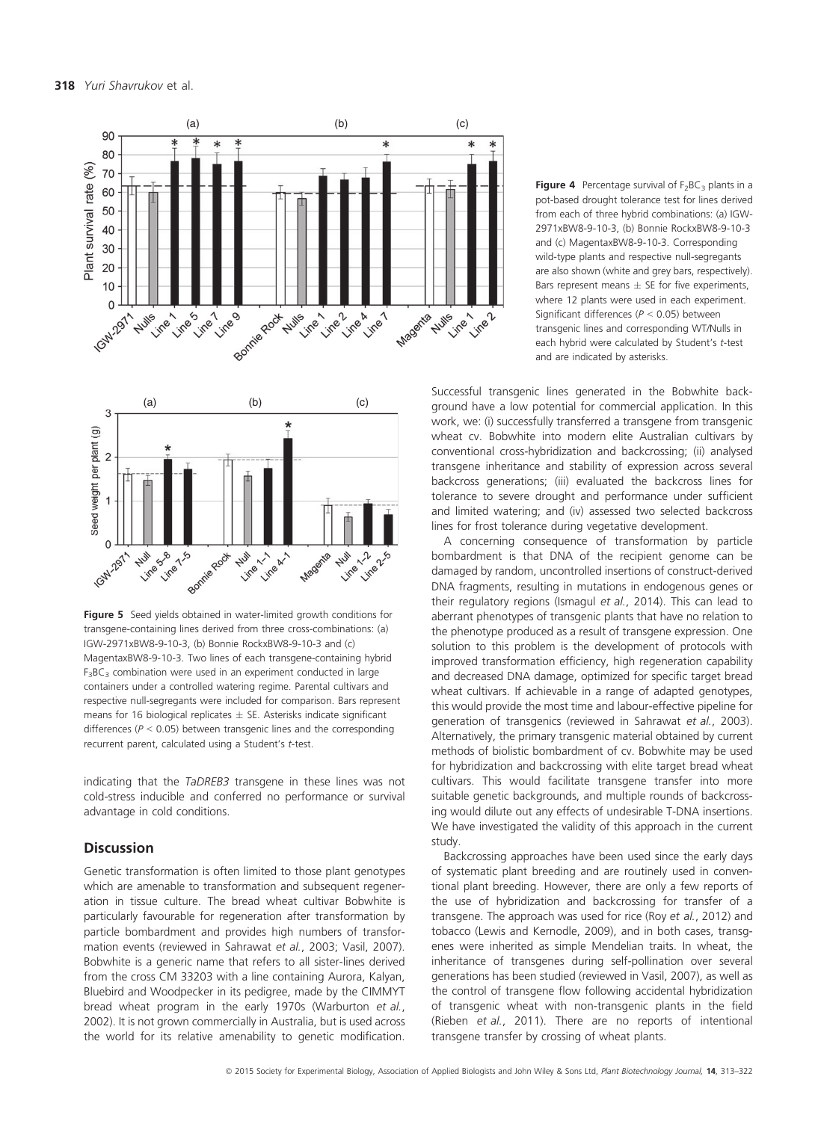



Figure 5 Seed yields obtained in water-limited growth conditions for transgene-containing lines derived from three cross-combinations: (a) IGW-2971xBW8-9-10-3, (b) Bonnie RockxBW8-9-10-3 and (c) MagentaxBW8-9-10-3. Two lines of each transgene-containing hybrid  $F_3BC_3$  combination were used in an experiment conducted in large containers under a controlled watering regime. Parental cultivars and respective null-segregants were included for comparison. Bars represent means for 16 biological replicates  $\pm$  SE. Asterisks indicate significant differences ( $P < 0.05$ ) between transgenic lines and the corresponding recurrent parent, calculated using a Student's t-test.

indicating that the TaDREB3 transgene in these lines was not cold-stress inducible and conferred no performance or survival advantage in cold conditions.

## **Discussion**

Genetic transformation is often limited to those plant genotypes which are amenable to transformation and subsequent regeneration in tissue culture. The bread wheat cultivar Bobwhite is particularly favourable for regeneration after transformation by particle bombardment and provides high numbers of transformation events (reviewed in Sahrawat et al., 2003; Vasil, 2007). Bobwhite is a generic name that refers to all sister-lines derived from the cross CM 33203 with a line containing Aurora, Kalyan, Bluebird and Woodpecker in its pedigree, made by the CIMMYT bread wheat program in the early 1970s (Warburton et al., 2002). It is not grown commercially in Australia, but is used across the world for its relative amenability to genetic modification.

**Figure 4** Percentage survival of  $F_2BC_3$  plants in a pot-based drought tolerance test for lines derived from each of three hybrid combinations: (a) IGW-2971xBW8-9-10-3, (b) Bonnie RockxBW8-9-10-3 and (c) MagentaxBW8-9-10-3. Corresponding wild-type plants and respective null-segregants are also shown (white and grey bars, respectively). Bars represent means  $\pm$  SE for five experiments, where 12 plants were used in each experiment. Significant differences ( $P < 0.05$ ) between transgenic lines and corresponding WT/Nulls in each hybrid were calculated by Student's t-test and are indicated by asterisks.

Successful transgenic lines generated in the Bobwhite background have a low potential for commercial application. In this work, we: (i) successfully transferred a transgene from transgenic wheat cv. Bobwhite into modern elite Australian cultivars by conventional cross-hybridization and backcrossing; (ii) analysed transgene inheritance and stability of expression across several backcross generations; (iii) evaluated the backcross lines for tolerance to severe drought and performance under sufficient and limited watering; and (iv) assessed two selected backcross lines for frost tolerance during vegetative development.

A concerning consequence of transformation by particle bombardment is that DNA of the recipient genome can be damaged by random, uncontrolled insertions of construct-derived DNA fragments, resulting in mutations in endogenous genes or their regulatory regions (Ismagul et al., 2014). This can lead to aberrant phenotypes of transgenic plants that have no relation to the phenotype produced as a result of transgene expression. One solution to this problem is the development of protocols with improved transformation efficiency, high regeneration capability and decreased DNA damage, optimized for specific target bread wheat cultivars. If achievable in a range of adapted genotypes, this would provide the most time and labour-effective pipeline for generation of transgenics (reviewed in Sahrawat et al., 2003). Alternatively, the primary transgenic material obtained by current methods of biolistic bombardment of cv. Bobwhite may be used for hybridization and backcrossing with elite target bread wheat cultivars. This would facilitate transgene transfer into more suitable genetic backgrounds, and multiple rounds of backcrossing would dilute out any effects of undesirable T-DNA insertions. We have investigated the validity of this approach in the current study.

Backcrossing approaches have been used since the early days of systematic plant breeding and are routinely used in conventional plant breeding. However, there are only a few reports of the use of hybridization and backcrossing for transfer of a transgene. The approach was used for rice (Roy et al., 2012) and tobacco (Lewis and Kernodle, 2009), and in both cases, transgenes were inherited as simple Mendelian traits. In wheat, the inheritance of transgenes during self-pollination over several generations has been studied (reviewed in Vasil, 2007), as well as the control of transgene flow following accidental hybridization of transgenic wheat with non-transgenic plants in the field (Rieben et al., 2011). There are no reports of intentional transgene transfer by crossing of wheat plants.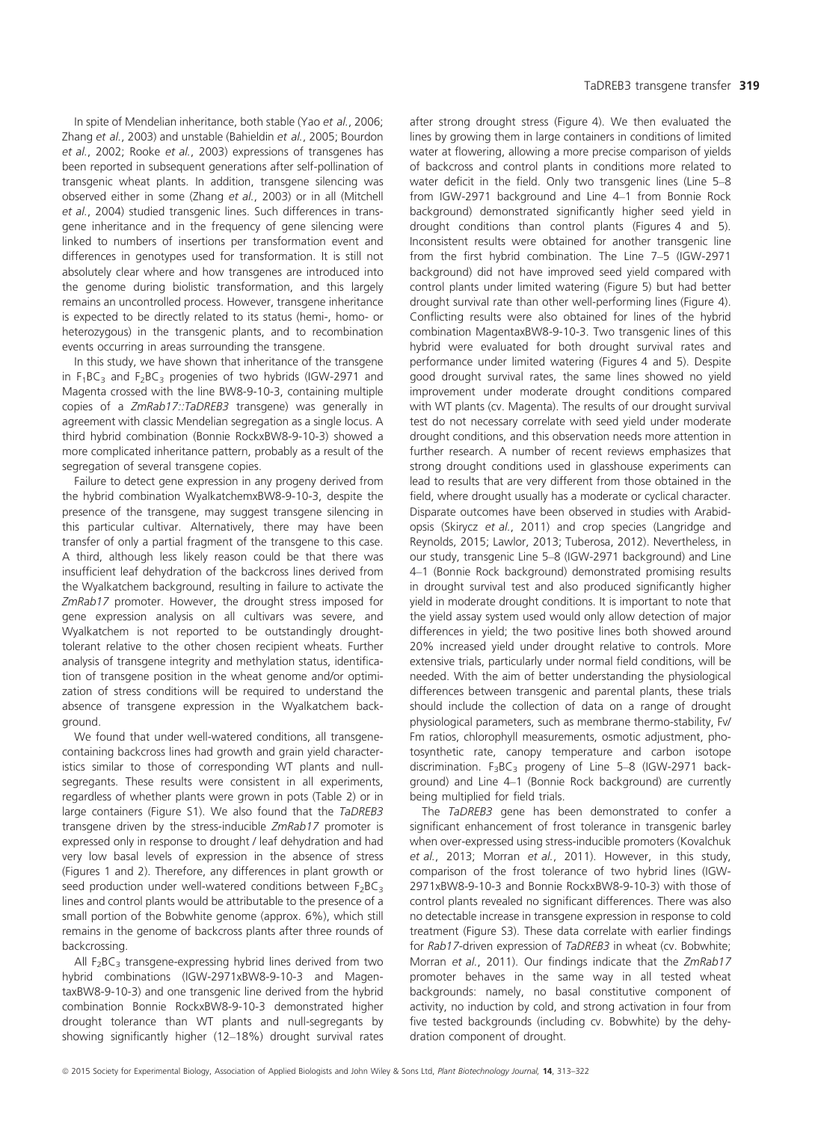In spite of Mendelian inheritance, both stable (Yao et al., 2006; Zhang et al., 2003) and unstable (Bahieldin et al., 2005; Bourdon et al., 2002; Rooke et al., 2003) expressions of transgenes has been reported in subsequent generations after self-pollination of transgenic wheat plants. In addition, transgene silencing was observed either in some (Zhang et al., 2003) or in all (Mitchell et al., 2004) studied transgenic lines. Such differences in transgene inheritance and in the frequency of gene silencing were linked to numbers of insertions per transformation event and differences in genotypes used for transformation. It is still not absolutely clear where and how transgenes are introduced into the genome during biolistic transformation, and this largely remains an uncontrolled process. However, transgene inheritance is expected to be directly related to its status (hemi-, homo- or

heterozygous) in the transgenic plants, and to recombination events occurring in areas surrounding the transgene. In this study, we have shown that inheritance of the transgene in  $F_1BC_3$  and  $F_2BC_3$  progenies of two hybrids (IGW-2971 and Magenta crossed with the line BW8-9-10-3, containing multiple copies of a ZmRab17::TaDREB3 transgene) was generally in agreement with classic Mendelian segregation as a single locus. A third hybrid combination (Bonnie RockxBW8-9-10-3) showed a

more complicated inheritance pattern, probably as a result of the

segregation of several transgene copies. Failure to detect gene expression in any progeny derived from the hybrid combination WyalkatchemxBW8-9-10-3, despite the presence of the transgene, may suggest transgene silencing in this particular cultivar. Alternatively, there may have been transfer of only a partial fragment of the transgene to this case. A third, although less likely reason could be that there was insufficient leaf dehydration of the backcross lines derived from the Wyalkatchem background, resulting in failure to activate the ZmRab17 promoter. However, the drought stress imposed for gene expression analysis on all cultivars was severe, and Wyalkatchem is not reported to be outstandingly droughttolerant relative to the other chosen recipient wheats. Further analysis of transgene integrity and methylation status, identification of transgene position in the wheat genome and/or optimization of stress conditions will be required to understand the absence of transgene expression in the Wyalkatchem background.

We found that under well-watered conditions, all transgenecontaining backcross lines had growth and grain yield characteristics similar to those of corresponding WT plants and nullsegregants. These results were consistent in all experiments, regardless of whether plants were grown in pots (Table 2) or in large containers (Figure S1). We also found that the TaDREB3 transgene driven by the stress-inducible ZmRab17 promoter is expressed only in response to drought / leaf dehydration and had very low basal levels of expression in the absence of stress (Figures 1 and 2). Therefore, any differences in plant growth or seed production under well-watered conditions between  $F_2BC_3$ lines and control plants would be attributable to the presence of a small portion of the Bobwhite genome (approx. 6%), which still remains in the genome of backcross plants after three rounds of backcrossing.

All  $F_2BC_3$  transgene-expressing hybrid lines derived from two hybrid combinations (IGW-2971xBW8-9-10-3 and MagentaxBW8-9-10-3) and one transgenic line derived from the hybrid combination Bonnie RockxBW8-9-10-3 demonstrated higher drought tolerance than WT plants and null-segregants by showing significantly higher (12–18%) drought survival rates

after strong drought stress (Figure 4). We then evaluated the lines by growing them in large containers in conditions of limited water at flowering, allowing a more precise comparison of yields of backcross and control plants in conditions more related to water deficit in the field. Only two transgenic lines (Line 5–8 from IGW-2971 background and Line 4–1 from Bonnie Rock background) demonstrated significantly higher seed yield in drought conditions than control plants (Figures 4 and 5). Inconsistent results were obtained for another transgenic line from the first hybrid combination. The Line 7–5 (IGW-2971 background) did not have improved seed yield compared with control plants under limited watering (Figure 5) but had better drought survival rate than other well-performing lines (Figure 4). Conflicting results were also obtained for lines of the hybrid combination MagentaxBW8-9-10-3. Two transgenic lines of this hybrid were evaluated for both drought survival rates and performance under limited watering (Figures 4 and 5). Despite good drought survival rates, the same lines showed no yield improvement under moderate drought conditions compared with WT plants (cv. Magenta). The results of our drought survival test do not necessary correlate with seed yield under moderate drought conditions, and this observation needs more attention in further research. A number of recent reviews emphasizes that strong drought conditions used in glasshouse experiments can lead to results that are very different from those obtained in the field, where drought usually has a moderate or cyclical character. Disparate outcomes have been observed in studies with Arabidopsis (Skirycz et al., 2011) and crop species (Langridge and Reynolds, 2015; Lawlor, 2013; Tuberosa, 2012). Nevertheless, in our study, transgenic Line 5–8 (IGW-2971 background) and Line 4–1 (Bonnie Rock background) demonstrated promising results in drought survival test and also produced significantly higher yield in moderate drought conditions. It is important to note that the yield assay system used would only allow detection of major differences in yield; the two positive lines both showed around 20% increased yield under drought relative to controls. More extensive trials, particularly under normal field conditions, will be needed. With the aim of better understanding the physiological differences between transgenic and parental plants, these trials should include the collection of data on a range of drought physiological parameters, such as membrane thermo-stability, Fv/ Fm ratios, chlorophyll measurements, osmotic adjustment, photosynthetic rate, canopy temperature and carbon isotope discrimination.  $F_3BC_3$  progeny of Line 5-8 (IGW-2971 background) and Line 4–1 (Bonnie Rock background) are currently being multiplied for field trials.

The TaDREB3 gene has been demonstrated to confer a significant enhancement of frost tolerance in transgenic barley when over-expressed using stress-inducible promoters (Kovalchuk et al., 2013; Morran et al., 2011). However, in this study, comparison of the frost tolerance of two hybrid lines (IGW-2971xBW8-9-10-3 and Bonnie RockxBW8-9-10-3) with those of control plants revealed no significant differences. There was also no detectable increase in transgene expression in response to cold treatment (Figure S3). These data correlate with earlier findings for Rab17-driven expression of TaDREB3 in wheat (cv. Bobwhite; Morran et al., 2011). Our findings indicate that the ZmRab17 promoter behaves in the same way in all tested wheat backgrounds: namely, no basal constitutive component of activity, no induction by cold, and strong activation in four from five tested backgrounds (including cv. Bobwhite) by the dehydration component of drought.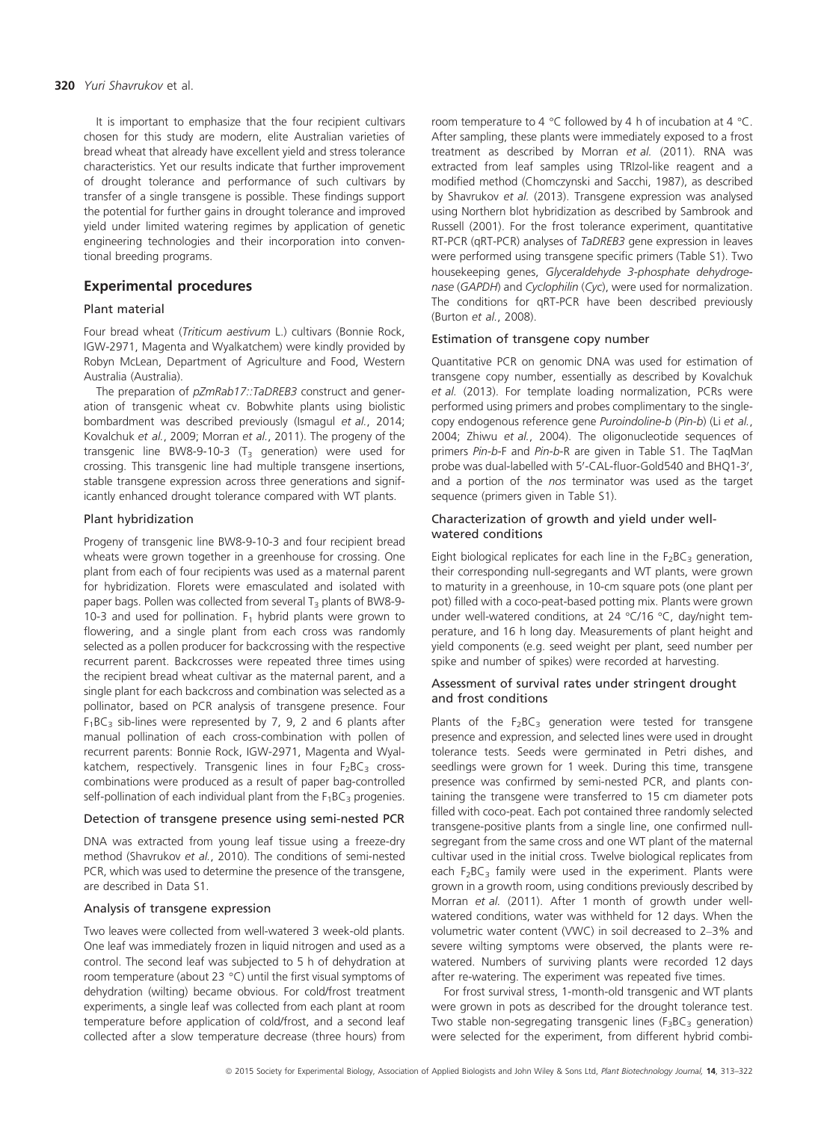#### 320 Yuri Shavrukov et al.

It is important to emphasize that the four recipient cultivars chosen for this study are modern, elite Australian varieties of bread wheat that already have excellent yield and stress tolerance characteristics. Yet our results indicate that further improvement of drought tolerance and performance of such cultivars by transfer of a single transgene is possible. These findings support the potential for further gains in drought tolerance and improved yield under limited watering regimes by application of genetic engineering technologies and their incorporation into conventional breeding programs.

# Experimental procedures

## Plant material

Four bread wheat (Triticum aestivum L.) cultivars (Bonnie Rock, IGW-2971, Magenta and Wyalkatchem) were kindly provided by Robyn McLean, Department of Agriculture and Food, Western Australia (Australia).

The preparation of  $pZmRab17::TaDREB3$  construct and generation of transgenic wheat cv. Bobwhite plants using biolistic bombardment was described previously (Ismagul et al., 2014; Kovalchuk et al., 2009; Morran et al., 2011). The progeny of the transgenic line BW8-9-10-3 ( $T_3$  generation) were used for crossing. This transgenic line had multiple transgene insertions, stable transgene expression across three generations and significantly enhanced drought tolerance compared with WT plants.

## Plant hybridization

Progeny of transgenic line BW8-9-10-3 and four recipient bread wheats were grown together in a greenhouse for crossing. One plant from each of four recipients was used as a maternal parent for hybridization. Florets were emasculated and isolated with paper bags. Pollen was collected from several  $T_3$  plants of BW8-9-10-3 and used for pollination.  $F_1$  hybrid plants were grown to flowering, and a single plant from each cross was randomly selected as a pollen producer for backcrossing with the respective recurrent parent. Backcrosses were repeated three times using the recipient bread wheat cultivar as the maternal parent, and a single plant for each backcross and combination was selected as a pollinator, based on PCR analysis of transgene presence. Four  $F_1BC_3$  sib-lines were represented by 7, 9, 2 and 6 plants after manual pollination of each cross-combination with pollen of recurrent parents: Bonnie Rock, IGW-2971, Magenta and Wyalkatchem, respectively. Transgenic lines in four  $F_2BC_3$  crosscombinations were produced as a result of paper bag-controlled self-pollination of each individual plant from the  $F_1BC_3$  progenies.

#### Detection of transgene presence using semi-nested PCR

DNA was extracted from young leaf tissue using a freeze-dry method (Shavrukov et al., 2010). The conditions of semi-nested PCR, which was used to determine the presence of the transgene, are described in Data S1.

#### Analysis of transgene expression

Two leaves were collected from well-watered 3 week-old plants. One leaf was immediately frozen in liquid nitrogen and used as a control. The second leaf was subjected to 5 h of dehydration at room temperature (about 23 °C) until the first visual symptoms of dehydration (wilting) became obvious. For cold/frost treatment experiments, a single leaf was collected from each plant at room temperature before application of cold/frost, and a second leaf collected after a slow temperature decrease (three hours) from

room temperature to 4 °C followed by 4 h of incubation at 4 °C. After sampling, these plants were immediately exposed to a frost treatment as described by Morran et al. (2011). RNA was extracted from leaf samples using TRIzol-like reagent and a modified method (Chomczynski and Sacchi, 1987), as described by Shavrukov et al. (2013). Transgene expression was analysed using Northern blot hybridization as described by Sambrook and Russell (2001). For the frost tolerance experiment, quantitative RT-PCR (qRT-PCR) analyses of TaDREB3 gene expression in leaves were performed using transgene specific primers (Table S1). Two housekeeping genes, Glyceraldehyde 3-phosphate dehydrogenase (GAPDH) and Cyclophilin (Cyc), were used for normalization. The conditions for qRT-PCR have been described previously (Burton et al., 2008).

#### Estimation of transgene copy number

Quantitative PCR on genomic DNA was used for estimation of transgene copy number, essentially as described by Kovalchuk et al. (2013). For template loading normalization, PCRs were performed using primers and probes complimentary to the singlecopy endogenous reference gene Puroindoline-b (Pin-b) (Li et al., 2004; Zhiwu et al., 2004). The oligonucleotide sequences of primers Pin-b-F and Pin-b-R are given in Table S1. The TaqMan probe was dual-labelled with 5'-CAL-fluor-Gold540 and BHQ1-3', and a portion of the nos terminator was used as the target sequence (primers given in Table S1).

## Characterization of growth and yield under wellwatered conditions

Eight biological replicates for each line in the  $F_2BC_3$  generation, their corresponding null-segregants and WT plants, were grown to maturity in a greenhouse, in 10-cm square pots (one plant per pot) filled with a coco-peat-based potting mix. Plants were grown under well-watered conditions, at 24 °C/16 °C, day/night temperature, and 16 h long day. Measurements of plant height and yield components (e.g. seed weight per plant, seed number per spike and number of spikes) were recorded at harvesting.

## Assessment of survival rates under stringent drought and frost conditions

Plants of the  $F_2BC_3$  generation were tested for transgene presence and expression, and selected lines were used in drought tolerance tests. Seeds were germinated in Petri dishes, and seedlings were grown for 1 week. During this time, transgene presence was confirmed by semi-nested PCR, and plants containing the transgene were transferred to 15 cm diameter pots filled with coco-peat. Each pot contained three randomly selected transgene-positive plants from a single line, one confirmed nullsegregant from the same cross and one WT plant of the maternal cultivar used in the initial cross. Twelve biological replicates from each  $F_2BC_3$  family were used in the experiment. Plants were grown in a growth room, using conditions previously described by Morran et al. (2011). After 1 month of growth under wellwatered conditions, water was withheld for 12 days. When the volumetric water content (VWC) in soil decreased to 2–3% and severe wilting symptoms were observed, the plants were rewatered. Numbers of surviving plants were recorded 12 days after re-watering. The experiment was repeated five times.

For frost survival stress, 1-month-old transgenic and WT plants were grown in pots as described for the drought tolerance test. Two stable non-segregating transgenic lines  $(F_3BC_3$  generation) were selected for the experiment, from different hybrid combi-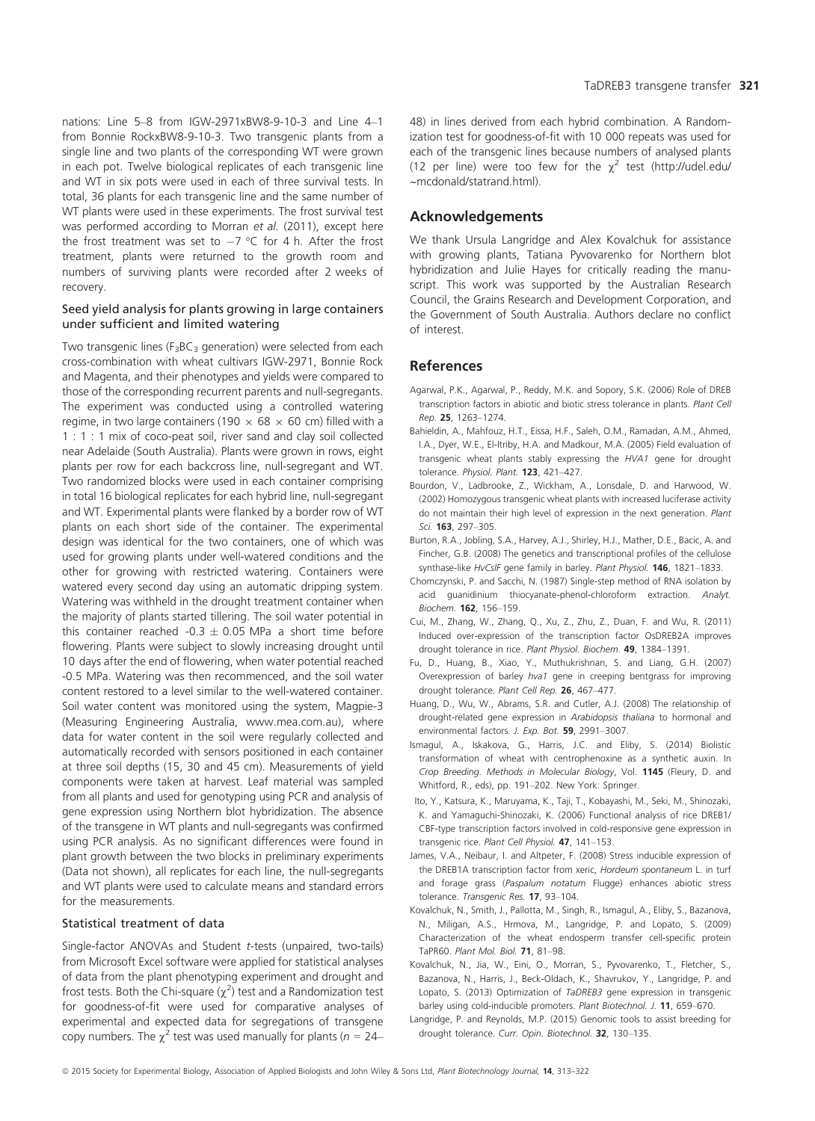nations: Line 5–8 from IGW-2971xBW8-9-10-3 and Line 4–1 from Bonnie RockxBW8-9-10-3. Two transgenic plants from a single line and two plants of the corresponding WT were grown in each pot. Twelve biological replicates of each transgenic line and WT in six pots were used in each of three survival tests. In total, 36 plants for each transgenic line and the same number of WT plants were used in these experiments. The frost survival test was performed according to Morran et al. (2011), except here

the frost treatment was set to  $-7$  °C for 4 h. After the frost treatment, plants were returned to the growth room and numbers of surviving plants were recorded after 2 weeks of recovery.

#### Seed yield analysis for plants growing in large containers under sufficient and limited watering

Two transgenic lines ( $F_3BC_3$  generation) were selected from each cross-combination with wheat cultivars IGW-2971, Bonnie Rock and Magenta, and their phenotypes and yields were compared to those of the corresponding recurrent parents and null-segregants. The experiment was conducted using a controlled watering regime, in two large containers (190  $\times$  68  $\times$  60 cm) filled with a 1 : 1 : 1 mix of coco-peat soil, river sand and clay soil collected near Adelaide (South Australia). Plants were grown in rows, eight plants per row for each backcross line, null-segregant and WT. Two randomized blocks were used in each container comprising in total 16 biological replicates for each hybrid line, null-segregant and WT. Experimental plants were flanked by a border row of WT plants on each short side of the container. The experimental design was identical for the two containers, one of which was used for growing plants under well-watered conditions and the other for growing with restricted watering. Containers were watered every second day using an automatic dripping system. Watering was withheld in the drought treatment container when the majority of plants started tillering. The soil water potential in this container reached -0.3  $\pm$  0.05 MPa a short time before flowering. Plants were subject to slowly increasing drought until 10 days after the end of flowering, when water potential reached -0.5 MPa. Watering was then recommenced, and the soil water content restored to a level similar to the well-watered container. Soil water content was monitored using the system, Magpie-3 (Measuring Engineering Australia, [www.mea.com.au\)](http://www.mea.com.au), where data for water content in the soil were regularly collected and automatically recorded with sensors positioned in each container at three soil depths (15, 30 and 45 cm). Measurements of yield components were taken at harvest. Leaf material was sampled from all plants and used for genotyping using PCR and analysis of gene expression using Northern blot hybridization. The absence of the transgene in WT plants and null-segregants was confirmed using PCR analysis. As no significant differences were found in plant growth between the two blocks in preliminary experiments (Data not shown), all replicates for each line, the null-segregants and WT plants were used to calculate means and standard errors for the measurements.

## Statistical treatment of data

Single-factor ANOVAs and Student t-tests (unpaired, two-tails) from Microsoft Excel software were applied for statistical analyses of data from the plant phenotyping experiment and drought and frost tests. Both the Chi-square  $(\chi^2)$  test and a Randomization test for goodness-of-fit were used for comparative analyses of experimental and expected data for segregations of transgene copy numbers. The  $\chi^2$  test was used manually for plants ( $n = 24-$ 

48) in lines derived from each hybrid combination. A Randomization test for goodness-of-fit with 10 000 repeats was used for each of the transgenic lines because numbers of analysed plants (12 per line) were too few for the  $\chi^2$  test [\(http://udel.edu/](http://udel.edu/~mcdonald/statrand.html) [~mcdonald/statrand.html\)](http://udel.edu/~mcdonald/statrand.html).

# Acknowledgements

We thank Ursula Langridge and Alex Kovalchuk for assistance with growing plants, Tatiana Pyvovarenko for Northern blot hybridization and Julie Hayes for critically reading the manuscript. This work was supported by the Australian Research Council, the Grains Research and Development Corporation, and the Government of South Australia. Authors declare no conflict of interest.

# References

- Agarwal, P.K., Agarwal, P., Reddy, M.K. and Sopory, S.K. (2006) Role of DREB transcription factors in abiotic and biotic stress tolerance in plants. Plant Cell Rep. 25, 1263–1274.
- Bahieldin, A., Mahfouz, H.T., Eissa, H.F., Saleh, O.M., Ramadan, A.M., Ahmed, I.A., Dyer, W.E., El-Itriby, H.A. and Madkour, M.A. (2005) Field evaluation of transgenic wheat plants stably expressing the HVA1 gene for drought tolerance. Physiol. Plant. 123, 421–427.
- Bourdon, V., Ladbrooke, Z., Wickham, A., Lonsdale, D. and Harwood, W. (2002) Homozygous transgenic wheat plants with increased luciferase activity do not maintain their high level of expression in the next generation. Plant Sci. **163**, 297-305.
- Burton, R.A., Jobling, S.A., Harvey, A.J., Shirley, H.J., Mather, D.E., Bacic, A. and Fincher, G.B. (2008) The genetics and transcriptional profiles of the cellulose synthase-like HvCslF gene family in barley. Plant Physiol. 146, 1821-1833.
- Chomczynski, P. and Sacchi, N. (1987) Single-step method of RNA isolation by acid quanidinium thiocyanate-phenol-chloroform extraction. Analyt. Biochem. 162, 156–159.
- Cui, M., Zhang, W., Zhang, Q., Xu, Z., Zhu, Z., Duan, F. and Wu, R. (2011) Induced over-expression of the transcription factor OsDREB2A improves drought tolerance in rice. Plant Physiol. Biochem. 49, 1384–1391.
- Fu, D., Huang, B., Xiao, Y., Muthukrishnan, S. and Liang, G.H. (2007) Overexpression of barley hva1 gene in creeping bentgrass for improving drought tolerance. Plant Cell Rep. 26, 467–477.
- Huang, D., Wu, W., Abrams, S.R. and Cutler, A.J. (2008) The relationship of drought-related gene expression in Arabidopsis thaliana to hormonal and environmental factors. J. Exp. Bot. 59, 2991–3007.
- Ismagul, A., Iskakova, G., Harris, J.C. and Eliby, S. (2014) Biolistic transformation of wheat with centrophenoxine as a synthetic auxin. In Crop Breeding. Methods in Molecular Biology, Vol. 1145 (Fleury, D. and Whitford, R., eds), pp. 191–202. New York: Springer.
- Ito, Y., Katsura, K., Maruyama, K., Taji, T., Kobayashi, M., Seki, M., Shinozaki, K. and Yamaguchi-Shinozaki, K. (2006) Functional analysis of rice DREB1/ CBF-type transcription factors involved in cold-responsive gene expression in transgenic rice. Plant Cell Physiol. 47, 141–153.
- James, V.A., Neibaur, I. and Altpeter, F. (2008) Stress inducible expression of the DREB1A transcription factor from xeric, Hordeum spontaneum L. in turf and forage grass (Paspalum notatum Flugge) enhances abiotic stress tolerance. Transgenic Res. 17, 93–104.
- Kovalchuk, N., Smith, J., Pallotta, M., Singh, R., Ismagul, A., Eliby, S., Bazanova, N., Miligan, A.S., Hrmova, M., Langridge, P. and Lopato, S. (2009) Characterization of the wheat endosperm transfer cell-specific protein TaPR60. Plant Mol. Biol. 71, 81–98.
- Kovalchuk, N., Jia, W., Eini, O., Morran, S., Pyvovarenko, T., Fletcher, S., Bazanova, N., Harris, J., Beck-Oldach, K., Shavrukov, Y., Langridge, P. and Lopato, S. (2013) Optimization of TaDREB3 gene expression in transgenic barley using cold-inducible promoters. Plant Biotechnol. J. 11, 659-670.
- Langridge, P. and Reynolds, M.P. (2015) Genomic tools to assist breeding for drought tolerance. Curr. Opin. Biotechnol. 32, 130-135.